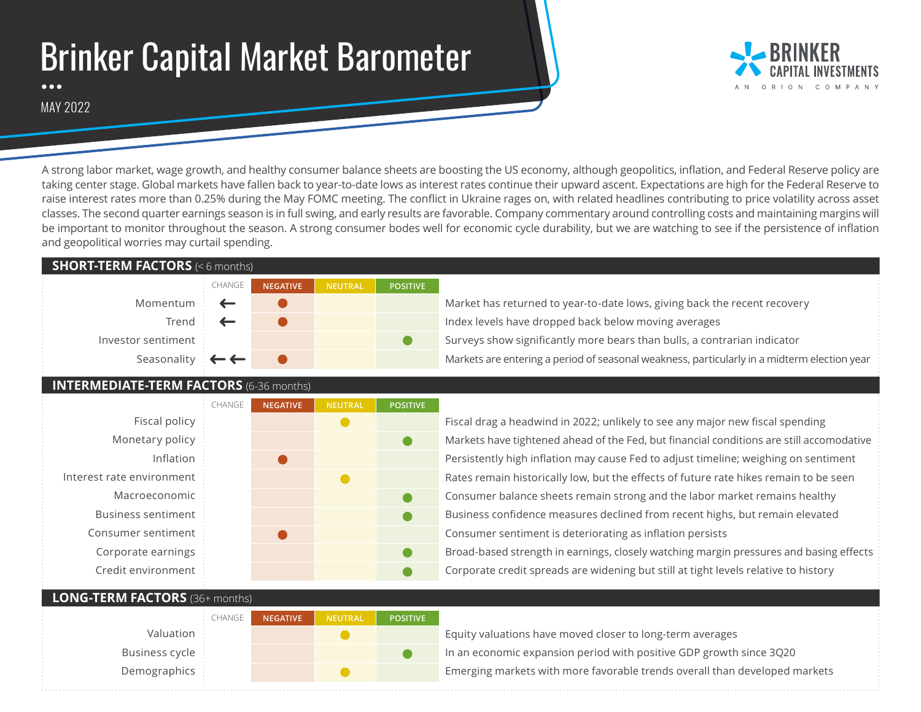# Brinker Capital Market Barometer

COMPANY

MAY 2022

A strong labor market, wage growth, and healthy consumer balance sheets are boosting the US economy, although geopolitics, inflation, and Federal Reserve policy are taking center stage. Global markets have fallen back to year-to-date lows as interest rates continue their upward ascent. Expectations are high for the Federal Reserve to raise interest rates more than 0.25% during the May FOMC meeting. The conflict in Ukraine rages on, with related headlines contributing to price volatility across asset classes. The second quarter earnings season is in full swing, and early results are favorable. Company commentary around controlling costs and maintaining margins will be important to monitor throughout the season. A strong consumer bodes well for economic cycle durability, but we are watching to see if the persistence of inflation and geopolitical worries may curtail spending.

#### **SHORT-TERM FACTORS** (< 6 months)

| CHANGE                              | <b>NEGATIVE</b> | <b>NEUTRAL</b> | <b>POSITIVE</b> |
|-------------------------------------|-----------------|----------------|-----------------|
| Momentum $\leftarrow$               |                 |                |                 |
| Trend $\leftarrow$                  |                 |                |                 |
| Investor sentiment                  |                 |                |                 |
| Seasonality $\mathbf{C} \leftarrow$ |                 |                |                 |

### Market has returned to year-to-date lows, giving back the recent recovery Index levels have dropped back below moving averages Surveys show significantly more bears than bulls, a contrarian indicator

Markets are entering a period of seasonal weakness, particularly in a midterm election year

#### **INTERMEDIATE-TERM FACTORS** (6-36 months)

|                           | CHANGE | <b>NEGATIVE</b> | <b>NEUTRAL</b> | <b>POSITIVE</b> |     |
|---------------------------|--------|-----------------|----------------|-----------------|-----|
| Fiscal policy             |        |                 |                |                 | Fis |
| Monetary policy           |        |                 |                |                 | M   |
| Inflation                 |        |                 |                |                 | Pe  |
| Interest rate environment |        |                 |                |                 | Ra  |
| Macroeconomic             |        |                 |                |                 | Сc  |
| <b>Business sentiment</b> |        |                 |                |                 | Βι  |
| Consumer sentiment        |        |                 |                |                 | Cc  |
| Corporate earnings        |        |                 |                |                 | Br  |
| Credit environment        |        |                 |                |                 | Cc  |
|                           |        |                 |                |                 |     |

CHANGE

scal drag a headwind in 2022; unlikely to see any major new fiscal spending arkets have tightened ahead of the Fed, but financial conditions are still accomodative rsistently high inflation may cause Fed to adjust timeline; weighing on sentiment tes remain historically low, but the effects of future rate hikes remain to be seen Insumer balance sheets remain strong and the labor market remains healthy Business confidence measures declined from recent highs, but remain elevated Insumer sentiment is deteriorating as inflation persists oad-based strength in earnings, closely watching margin pressures and basing effects reporate credit spreads are widening but still at tight levels relative to history

#### **LONG-TERM FACTORS** (36+ months)

Valuation Business cycle Demographics

| <b>NEGATIVE</b> | <b>NEUTRAL</b> | <b>POSITIVE</b> |
|-----------------|----------------|-----------------|
|                 |                |                 |
|                 |                |                 |
|                 |                |                 |

Equity valuations have moved closer to long-term averages In an economic expansion period with positive GDP growth since 3Q20 Emerging markets with more favorable trends overall than developed markets